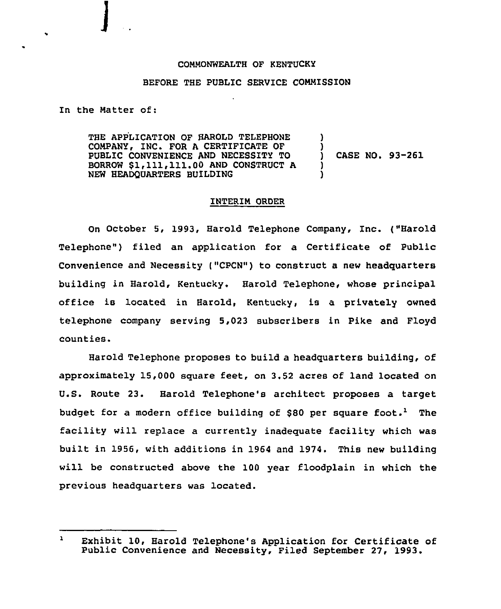## COMMONWEALTH OF KENTUCKY

## BEFORE THE PUBLIC SERVICE COMMISSION

In the Matter of:

THE APPLICATION OF HAROLD TELEPHONE COMPANY, INC. FOR A CERTIFICATE OF PUBLIC CONVENIENCE AND NECESSITY TO BORROW \$1,111,111.00AND CONSTRUCT <sup>A</sup> NEW HEADQUARTERS BUILDING ) ) ) CASE NO. 93-261 ) )

## INTERIM ORDER

On October 5, 1993, Harold Telephone Company, Inc. ("Harold Telephone") filed an application for a Certificate of Public Convenience and Necessity ("CPCN") to construct a new headquarters building in Harold, Kentucky. Harold Telephone, whose principal office is located in Harold, Kentucky, is a privately owned telephone company serving 5,023 subscribers in Pike and Floyd counties.

Harold Telephone proposes to build a headquarters building, of approximately 15,000 square feet, on 3.52 acres of land located on U.S. Route 23. Harold Telephone's architect proposes a target budget for a modern office building of \$80 per square foot.<sup>1</sup> The facility will replace a currently inadequate facility which was built in 1956, with additions in 1964 and 1974. This new building will be constructed above the 100 year floodplain in which the previous headquarters was located.

 $\mathbf{r}$ Exhibit 10, Harold Telephone's Application for Certificate of Public Convenience and Necessity, Filed September 27, 1993.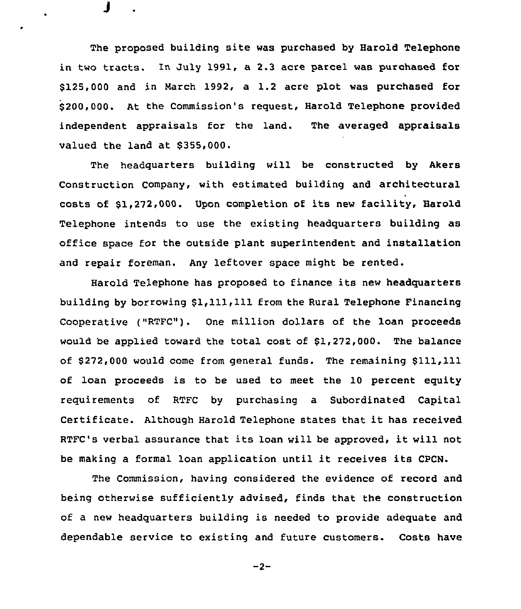The proposed building site was purchased by Harold Telephone in two tracts. In July 1991, a 2.3 acre parcel was purchased for \$125,000 and in March 1992, a 1.2 acre plot was purchased for \$ 200,000. At the Commission's request, Harold Telephone provided independent appraisals for the land. The averaged appraisals valued the land at \$355,000.

J

The headquarters building will be constructed by Akers Construction Company, with estimated building and architectural costs of \$1,272.000. Upon completion of its new facility, Harold Telephone intends to use the existing headquarters building as office space for the outside plant superintendent and installation and repair foreman. Any leftover space might be rented.

Harold Telephone has proposed to finance its new headquarters building by borrowing \$1,111,111 from the Rural Telephone Financing Cooperative ("RTFC"). One million dollars of the loan proceeds would be applied toward the total cost of \$1,272,000. The balance of \$272,000 would come from general funds. The remaining \$111,111 of loan proceeds is to be used to meet the 10 percent equity requirements of RTFC by purchasing a Subordinated Capital Certificate. Although Harold Telephone states that it has received RTFC's verbal assurance that its loan will be approved, it will not be making <sup>a</sup> formal loan application until it receives its CPCN.

The Commission, having considered the evidence of record and being otherwise sufficiently advised, finds that the construction of a new headquarters building is needed to provide adequate and dependable service to existing and future customers. Costs have

$$
-2-
$$